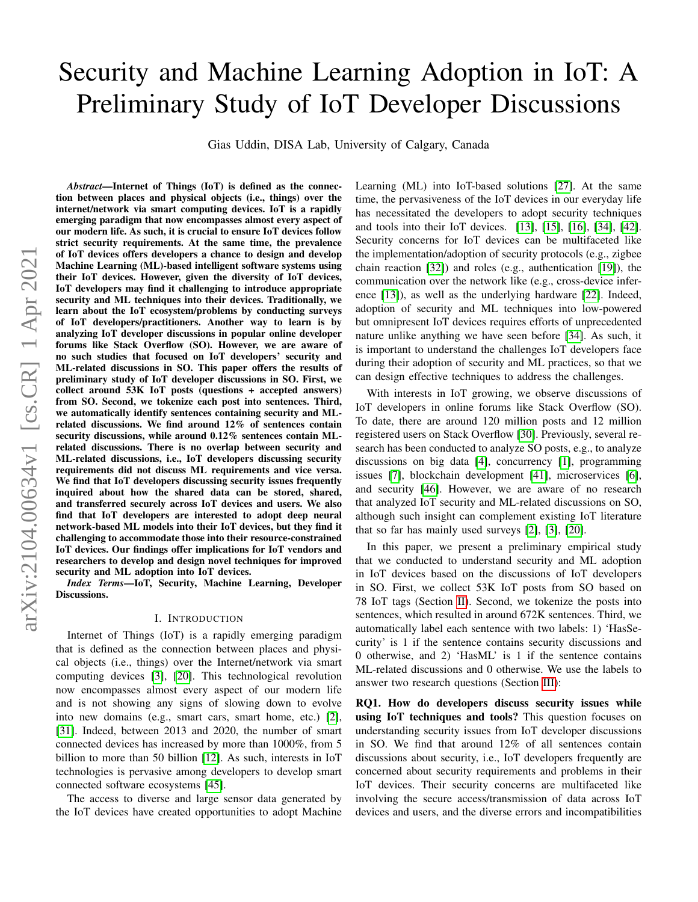# Security and Machine Learning Adoption in IoT: A Preliminary Study of IoT Developer Discussions

Gias Uddin, DISA Lab, University of Calgary, Canada

*Abstract*—Internet of Things (IoT) is defined as the connection between places and physical objects (i.e., things) over the internet/network via smart computing devices. IoT is a rapidly emerging paradigm that now encompasses almost every aspect of our modern life. As such, it is crucial to ensure IoT devices follow strict security requirements. At the same time, the prevalence of IoT devices offers developers a chance to design and develop Machine Learning (ML)-based intelligent software systems using their IoT devices. However, given the diversity of IoT devices, IoT developers may find it challenging to introduce appropriate security and ML techniques into their devices. Traditionally, we learn about the IoT ecosystem/problems by conducting surveys of IoT developers/practitioners. Another way to learn is by analyzing IoT developer discussions in popular online developer forums like Stack Overflow (SO). However, we are aware of no such studies that focused on IoT developers' security and ML-related discussions in SO. This paper offers the results of preliminary study of IoT developer discussions in SO. First, we collect around 53K IoT posts (questions + accepted answers) from SO. Second, we tokenize each post into sentences. Third, we automatically identify sentences containing security and MLrelated discussions. We find around 12% of sentences contain security discussions, while around 0.12% sentences contain MLrelated discussions. There is no overlap between security and ML-related discussions, i.e., IoT developers discussing security requirements did not discuss ML requirements and vice versa. We find that IoT developers discussing security issues frequently inquired about how the shared data can be stored, shared, and transferred securely across IoT devices and users. We also find that IoT developers are interested to adopt deep neural network-based ML models into their IoT devices, but they find it challenging to accommodate those into their resource-constrained IoT devices. Our findings offer implications for IoT vendors and researchers to develop and design novel techniques for improved security and ML adoption into IoT devices.

*Index Terms*—IoT, Security, Machine Learning, Developer Discussions.

# I. INTRODUCTION

Internet of Things (IoT) is a rapidly emerging paradigm that is defined as the connection between places and physical objects (i.e., things) over the Internet/network via smart computing devices [\[3\]](#page-6-0), [\[20\]](#page-7-0). This technological revolution now encompasses almost every aspect of our modern life and is not showing any signs of slowing down to evolve into new domains (e.g., smart cars, smart home, etc.) [\[2\]](#page-6-1), [\[31\]](#page-7-1). Indeed, between 2013 and 2020, the number of smart connected devices has increased by more than 1000%, from 5 billion to more than 50 billion [\[12\]](#page-7-2). As such, interests in IoT technologies is pervasive among developers to develop smart connected software ecosystems [\[45\]](#page-7-3).

The access to diverse and large sensor data generated by the IoT devices have created opportunities to adopt Machine Learning (ML) into IoT-based solutions [\[27\]](#page-7-4). At the same time, the pervasiveness of the IoT devices in our everyday life has necessitated the developers to adopt security techniques and tools into their IoT devices. [\[13\]](#page-7-5), [\[15\]](#page-7-6), [\[16\]](#page-7-7), [\[34\]](#page-7-8), [\[42\]](#page-7-9). Security concerns for IoT devices can be multifaceted like the implementation/adoption of security protocols (e.g., zigbee chain reaction [\[32\]](#page-7-10)) and roles (e.g., authentication [\[19\]](#page-7-11)), the communication over the network like (e.g., cross-device inference [\[13\]](#page-7-5)), as well as the underlying hardware [\[22\]](#page-7-12). Indeed, adoption of security and ML techniques into low-powered but omnipresent IoT devices requires efforts of unprecedented nature unlike anything we have seen before [\[34\]](#page-7-8). As such, it is important to understand the challenges IoT developers face during their adoption of security and ML practices, so that we can design effective techniques to address the challenges.

With interests in IoT growing, we observe discussions of IoT developers in online forums like Stack Overflow (SO). To date, there are around 120 million posts and 12 million registered users on Stack Overflow [\[30\]](#page-7-13). Previously, several research has been conducted to analyze SO posts, e.g., to analyze discussions on big data [\[4\]](#page-6-2), concurrency [\[1\]](#page-6-3), programming issues [\[7\]](#page-7-14), blockchain development [\[41\]](#page-7-15), microservices [\[6\]](#page-6-4), and security [\[46\]](#page-7-16). However, we are aware of no research that analyzed IoT security and ML-related discussions on SO, although such insight can complement existing IoT literature that so far has mainly used surveys [\[2\]](#page-6-1), [\[3\]](#page-6-0), [\[20\]](#page-7-0).

In this paper, we present a preliminary empirical study that we conducted to understand security and ML adoption in IoT devices based on the discussions of IoT developers in SO. First, we collect 53K IoT posts from SO based on 78 IoT tags (Section [II\)](#page-1-0). Second, we tokenize the posts into sentences, which resulted in around 672K sentences. Third, we automatically label each sentence with two labels: 1) 'HasSecurity' is 1 if the sentence contains security discussions and 0 otherwise, and 2) 'HasML' is 1 if the sentence contains ML-related discussions and 0 otherwise. We use the labels to answer two research questions (Section [III\)](#page-1-1):

RQ1. How do developers discuss security issues while using IoT techniques and tools? This question focuses on understanding security issues from IoT developer discussions in SO. We find that around 12% of all sentences contain discussions about security, i.e., IoT developers frequently are concerned about security requirements and problems in their IoT devices. Their security concerns are multifaceted like involving the secure access/transmission of data across IoT devices and users, and the diverse errors and incompatibilities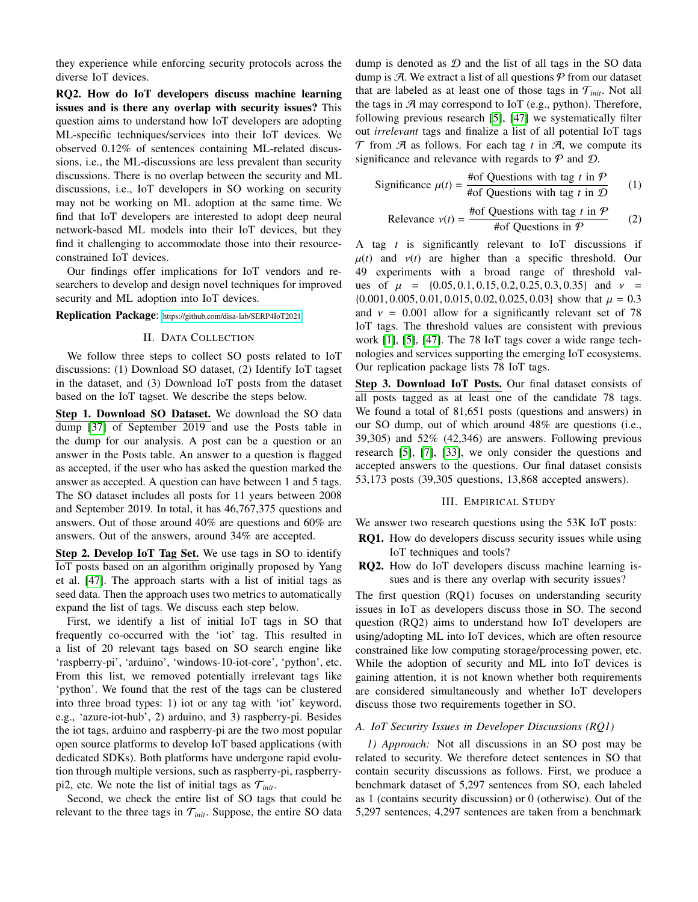they experience while enforcing security protocols across the diverse IoT devices.

RQ2. How do IoT developers discuss machine learning issues and is there any overlap with security issues? This question aims to understand how IoT developers are adopting ML-specific techniques/services into their IoT devices. We observed 0.12% of sentences containing ML-related discussions, i.e., the ML-discussions are less prevalent than security discussions. There is no overlap between the security and ML discussions, i.e., IoT developers in SO working on security may not be working on ML adoption at the same time. We find that IoT developers are interested to adopt deep neural network-based ML models into their IoT devices, but they find it challenging to accommodate those into their resourceconstrained IoT devices.

Our findings offer implications for IoT vendors and researchers to develop and design novel techniques for improved security and ML adoption into IoT devices.

<span id="page-1-0"></span>Replication Package: <https://github.com/disa-lab/SERP4IoT2021>

# II. DATA COLLECTION

We follow three steps to collect SO posts related to IoT discussions: (1) Download SO dataset, (2) Identify IoT tagset in the dataset, and (3) Download IoT posts from the dataset based on the IoT tagset. We describe the steps below.

Step 1. Download SO Dataset. We download the SO data dump [\[37\]](#page-7-17) of September 2019 and use the Posts table in the dump for our analysis. A post can be a question or an answer in the Posts table. An answer to a question is flagged as accepted, if the user who has asked the question marked the answer as accepted. A question can have between 1 and 5 tags. The SO dataset includes all posts for 11 years between 2008 and September 2019. In total, it has 46,767,375 questions and answers. Out of those around 40% are questions and 60% are answers. Out of the answers, around 34% are accepted.

Step 2. Develop IoT Tag Set. We use tags in SO to identify IoT posts based on an algorithm originally proposed by Yang et al. [\[47\]](#page-7-18). The approach starts with a list of initial tags as seed data. Then the approach uses two metrics to automatically expand the list of tags. We discuss each step below.

First, we identify a list of initial IoT tags in SO that frequently co-occurred with the 'iot' tag. This resulted in a list of 20 relevant tags based on SO search engine like 'raspberry-pi', 'arduino', 'windows-10-iot-core', 'python', etc. From this list, we removed potentially irrelevant tags like 'python'. We found that the rest of the tags can be clustered into three broad types: 1) iot or any tag with 'iot' keyword, e.g., 'azure-iot-hub', 2) arduino, and 3) raspberry-pi. Besides the iot tags, arduino and raspberry-pi are the two most popular open source platforms to develop IoT based applications (with dedicated SDKs). Both platforms have undergone rapid evolution through multiple versions, such as raspberry-pi, raspberrypi2, etc. We note the list of initial tags as  $\mathcal{T}_{init}$ .

Second, we check the entire list of SO tags that could be relevant to the three tags in  $\mathcal{T}_{init}$ . Suppose, the entire SO data dump is denoted as  $D$  and the list of all tags in the SO data dump is  $\mathcal{A}$ . We extract a list of all questions  $\mathcal{P}$  from our dataset that are labeled as at least one of those tags in  $\mathcal{T}_{init}$ . Not all the tags in  $\mathcal{A}$  may correspond to IoT (e.g., python). Therefore, following previous research [\[5\]](#page-6-5), [\[47\]](#page-7-18) we systematically filter out *irrelevant* tags and finalize a list of all potential IoT tags  $\mathcal T$  from  $\mathcal A$  as follows. For each tag *t* in  $\mathcal A$ , we compute its significance and relevance with regards to  $P$  and  $D$ .

Significance 
$$
\mu(t) = \frac{\text{#of Questions with tag } t \text{ in } \mathcal{P}}{\text{#of Questions with tag } t \text{ in } \mathcal{D}}
$$
 (1)

$$
Relevance \nu(t) = \frac{\text{#of Questions with tag } t \text{ in } \mathcal{P}}{\text{#of Questions in } \mathcal{P}} \qquad (2)
$$

A tag *t* is significantly relevant to IoT discussions if  $\mu(t)$  and  $\nu(t)$  are higher than a specific threshold. Our 49 experiments with a broad range of threshold values of  $\mu$  = {0.05, 0.1, 0.15, 0.2, 0.25, 0.3, 0.35} and  $\nu$  =  $\{0.001, 0.005, 0.01, 0.015, 0.02, 0.025, 0.03\}$  show that  $\mu = 0.3$ and  $v = 0.001$  allow for a significantly relevant set of 78 IoT tags. The threshold values are consistent with previous work [\[1\]](#page-6-3), [\[5\]](#page-6-5), [\[47\]](#page-7-18). The 78 IoT tags cover a wide range technologies and services supporting the emerging IoT ecosystems. Our replication package lists 78 IoT tags.

Step 3. Download IoT Posts. Our final dataset consists of all posts tagged as at least one of the candidate 78 tags. We found a total of 81,651 posts (questions and answers) in our SO dump, out of which around 48% are questions (i.e., 39,305) and 52% (42,346) are answers. Following previous research [\[5\]](#page-6-5), [\[7\]](#page-7-14), [\[33\]](#page-7-19), we only consider the questions and accepted answers to the questions. Our final dataset consists 53,173 posts (39,305 questions, 13,868 accepted answers).

# III. EMPIRICAL STUDY

<span id="page-1-1"></span>We answer two research questions using the 53K IoT posts:

- RQ1. How do developers discuss security issues while using IoT techniques and tools?
- RQ2. How do IoT developers discuss machine learning issues and is there any overlap with security issues?

The first question (RQ1) focuses on understanding security issues in IoT as developers discuss those in SO. The second question (RQ2) aims to understand how IoT developers are using/adopting ML into IoT devices, which are often resource constrained like low computing storage/processing power, etc. While the adoption of security and ML into IoT devices is gaining attention, it is not known whether both requirements are considered simultaneously and whether IoT developers discuss those two requirements together in SO.

# *A. IoT Security Issues in Developer Discussions (RQ1)*

*1) Approach:* Not all discussions in an SO post may be related to security. We therefore detect sentences in SO that contain security discussions as follows. First, we produce a benchmark dataset of 5,297 sentences from SO, each labeled as 1 (contains security discussion) or 0 (otherwise). Out of the 5,297 sentences, 4,297 sentences are taken from a benchmark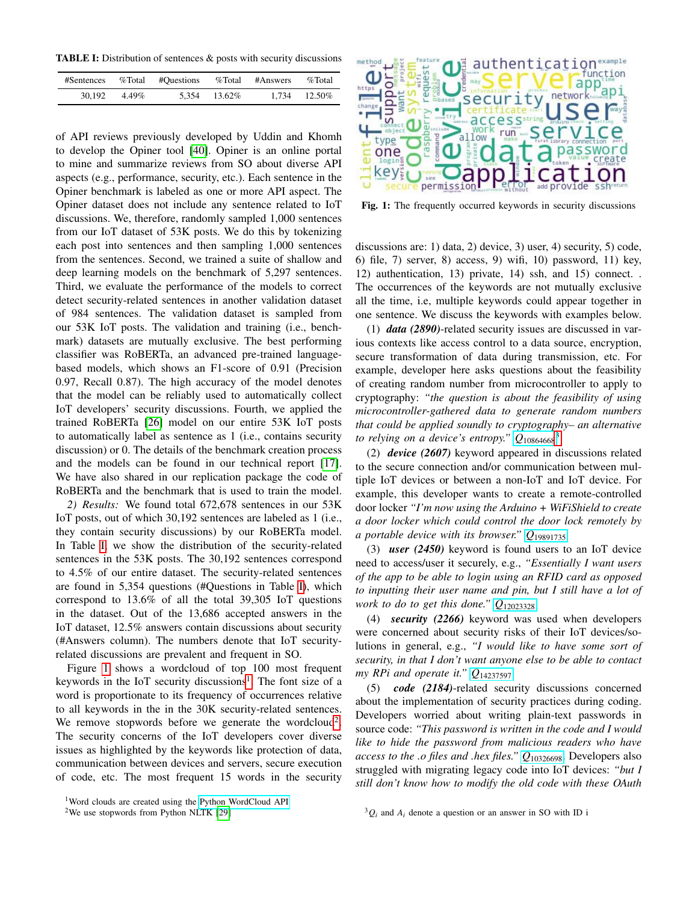<span id="page-2-0"></span>TABLE I: Distribution of sentences & posts with security discussions

| #Sentences |       | %Total #Questions | %Total        | #Answers | $\%$ Total        |
|------------|-------|-------------------|---------------|----------|-------------------|
| 30.192     | 4.49% |                   | 5.354 13.62\% |          | $1.734$ $12.50\%$ |

of API reviews previously developed by Uddin and Khomh to develop the Opiner tool [\[40\]](#page-7-20). Opiner is an online portal to mine and summarize reviews from SO about diverse API aspects (e.g., performance, security, etc.). Each sentence in the Opiner benchmark is labeled as one or more API aspect. The Opiner dataset does not include any sentence related to IoT discussions. We, therefore, randomly sampled 1,000 sentences from our IoT dataset of 53K posts. We do this by tokenizing each post into sentences and then sampling 1,000 sentences from the sentences. Second, we trained a suite of shallow and deep learning models on the benchmark of 5,297 sentences. Third, we evaluate the performance of the models to correct detect security-related sentences in another validation dataset of 984 sentences. The validation dataset is sampled from our 53K IoT posts. The validation and training (i.e., benchmark) datasets are mutually exclusive. The best performing classifier was RoBERTa, an advanced pre-trained languagebased models, which shows an F1-score of 0.91 (Precision 0.97, Recall 0.87). The high accuracy of the model denotes that the model can be reliably used to automatically collect IoT developers' security discussions. Fourth, we applied the trained RoBERTa [\[26\]](#page-7-21) model on our entire 53K IoT posts to automatically label as sentence as 1 (i.e., contains security discussion) or 0. The details of the benchmark creation process and the models can be found in our technical report [\[17\]](#page-7-22). We have also shared in our replication package the code of RoBERTa and the benchmark that is used to train the model.

*2) Results:* We found total 672,678 sentences in our 53K IoT posts, out of which 30,192 sentences are labeled as 1 (i.e., they contain security discussions) by our RoBERTa model. In Table [I,](#page-2-0) we show the distribution of the security-related sentences in the 53K posts. The 30,192 sentences correspond to 4.5% of our entire dataset. The security-related sentences are found in 5,354 questions (#Questions in Table [I\)](#page-2-0), which correspond to 13.6% of all the total 39,305 IoT questions in the dataset. Out of the 13,686 accepted answers in the IoT dataset, 12.5% answers contain discussions about security (#Answers column). The numbers denote that IoT securityrelated discussions are prevalent and frequent in SO.

Figure [1](#page-2-1) shows a wordcloud of top 100 most frequent keywords in the IoT security discussions<sup>[1](#page-2-2)</sup>. The font size of a word is proportionate to its frequency of occurrences relative to all keywords in the in the 30K security-related sentences. We remove stopwords before we generate the wordcloud<sup>[2](#page-2-3)</sup>. The security concerns of the IoT developers cover diverse issues as highlighted by the keywords like protection of data, communication between devices and servers, secure execution of code, etc. The most frequent 15 words in the security

<span id="page-2-2"></span>

<span id="page-2-3"></span><sup>2</sup>We use stopwords from Python NLTK [\[29\]](#page-7-23)

<span id="page-2-1"></span>

Fig. 1: The frequently occurred keywords in security discussions

discussions are: 1) data, 2) device, 3) user, 4) security, 5) code, 6) file, 7) server, 8) access, 9) wifi, 10) password, 11) key, 12) authentication, 13) private, 14) ssh, and 15) connect. . The occurrences of the keywords are not mutually exclusive all the time, i.e, multiple keywords could appear together in one sentence. We discuss the keywords with examples below.

(1) *data (2890)*-related security issues are discussed in various contexts like access control to a data source, encryption, secure transformation of data during transmission, etc. For example, developer here asks questions about the feasibility of creating random number from microcontroller to apply to cryptography: *"the question is about the feasibility of using microcontroller-gathered data to generate random numbers that could be applied soundly to cryptography– an alternative to relying on a device's entropy." Q*[10864668](https://stackoverflow.com/questions/10864668/) [3](#page-2-4)

(2) *device (2607)* keyword appeared in discussions related to the secure connection and/or communication between multiple IoT devices or between a non-IoT and IoT device. For example, this developer wants to create a remote-controlled door locker *"I'm now using the Arduino + WiFiShield to create a door locker which could control the door lock remotely by a portable device with its browser." Q*[19891735](https://stackoverflow.com/questions/19891735/)

(3) *user (2450)* keyword is found users to an IoT device need to access/user it securely, e.g., *"Essentially I want users of the app to be able to login using an RFID card as opposed to inputting their user name and pin, but I still have a lot of work to do to get this done." Q*[12023328](https://stackoverflow.com/questions/12023328/)

(4) *security (2266)* keyword was used when developers were concerned about security risks of their IoT devices/solutions in general, e.g., *"I would like to have some sort of security, in that I don't want anyone else to be able to contact my RPi and operate it." Q*[14237597](https://stackoverflow.com/questions/14237597/)

(5) *code (2184)*-related security discussions concerned about the implementation of security practices during coding. Developers worried about writing plain-text passwords in source code: *"This password is written in the code and I would like to hide the password from malicious readers who have access to the .o files and .hex files." Q*[10326698](https://stackoverflow.com/questions/10326698/). Developers also struggled with migrating legacy code into IoT devices: *"but I still don't know how to modify the old code with these OAuth*

<span id="page-2-4"></span> ${}^{3}Q_i$  and  $A_i$  denote a question or an answer in SO with ID i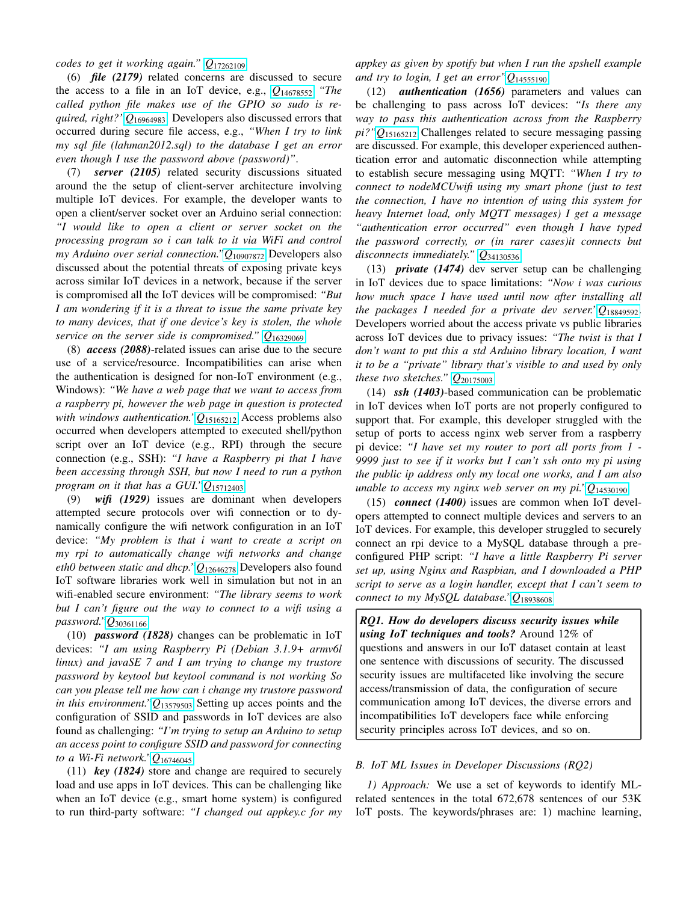*codes to get it working again." Q*[17262109](https://stackoverflow.com/questions/17262109/)

(6) *file (2179)* related concerns are discussed to secure the access to a file in an IoT device, e.g., *Q*[14678552](https://stackoverflow.com/questions/14678552/) *"The called python file makes use of the GPIO so sudo is required, right?"Q*[16964983](https://stackoverflow.com/questions/16964983/). Developers also discussed errors that occurred during secure file access, e.g., *"When I try to link my sql file (lahman2012.sql) to the database I get an error even though I use the password above (password)"*.

(7) *server (2105)* related security discussions situated around the the setup of client-server architecture involving multiple IoT devices. For example, the developer wants to open a client/server socket over an Arduino serial connection:

*"I would like to open a client or server socket on the processing program so i can talk to it via WiFi and control my Arduino over serial connection."Q*[10907872](https://stackoverflow.com/questions/10907872/) Developers also discussed about the potential threats of exposing private keys across similar IoT devices in a network, because if the server is compromised all the IoT devices will be compromised: *"But I am wondering if it is a threat to issue the same private key to many devices, that if one device's key is stolen, the whole service on the server side is compromised." Q*[16329069](https://stackoverflow.com/questions/16329069 /)

(8) *access (2088)*-related issues can arise due to the secure use of a service/resource. Incompatibilities can arise when the authentication is designed for non-IoT environment (e.g., Windows): *"We have a web page that we want to access from a raspberry pi, however the web page in question is protected with windows authentication."Q*[15165212](https://stackoverflow.com/questions/15165212/) Access problems also occurred when developers attempted to executed shell/python script over an IoT device (e.g., RPI) through the secure connection (e.g., SSH): *"I have a Raspberry pi that I have been accessing through SSH, but now I need to run a python program on it that has a GUI."Q*[15712403](https://stackoverflow.com/questions/15712403/)

(9) *wifi (1929)* issues are dominant when developers attempted secure protocols over wifi connection or to dynamically configure the wifi network configuration in an IoT device: *"My problem is that i want to create a script on my rpi to automatically change wifi networks and change eth0 between static and dhcp."Q*[12646278](https://stackoverflow.com/questions/12646278/) Developers also found IoT software libraries work well in simulation but not in an wifi-enabled secure environment: *"The library seems to work but I can't figure out the way to connect to a wifi using a password."Q*[30361166](https://stackoverflow.com/questions/30361166/)

(10) *password (1828)* changes can be problematic in IoT devices: *"I am using Raspberry Pi (Debian 3.1.9+ armv6l linux) and javaSE 7 and I am trying to change my trustore password by keytool but keytool command is not working So can you please tell me how can i change my trustore password in this environment."Q*[13579503](https://stackoverflow.com/questions/13579503/) Setting up acces points and the configuration of SSID and passwords in IoT devices are also found as challenging: *"I'm trying to setup an Arduino to setup an access point to configure SSID and password for connecting to a Wi-Fi network."Q*[16746045](https://stackoverflow.com/questions/16746045/)

(11) *key (1824)* store and change are required to securely load and use apps in IoT devices. This can be challenging like when an IoT device (e.g., smart home system) is configured to run third-party software: *"I changed out appkey.c for my* *appkey as given by spotify but when I run the spshell example and try to login, I get an error"Q*[14555190](https://stackoverflow.com/questions/14555190/)

(12) *authentication (1656)* parameters and values can be challenging to pass across IoT devices: *"Is there any way to pass this authentication across from the Raspberry pi?"Q*[15165212](https://stackoverflow.com/questions/15165212/) Challenges related to secure messaging passing are discussed. For example, this developer experienced authentication error and automatic disconnection while attempting to establish secure messaging using MQTT: *"When I try to connect to nodeMCUwifi using my smart phone (just to test the connection, I have no intention of using this system for heavy Internet load, only MQTT messages) I get a message "authentication error occurred" even though I have typed the password correctly, or (in rarer cases)it connects but disconnects immediately." Q*[34130536](https://stackoverflow.com/questions/34130536/)

(13) *private (1474)* dev server setup can be challenging in IoT devices due to space limitations: *"Now i was curious how much space I have used until now after installing all the packages I needed for a private dev server."Q*[18849592](https://stackoverflow.com/questions/18849592/). Developers worried about the access private vs public libraries across IoT devices due to privacy issues: *"The twist is that I don't want to put this a std Arduino library location, I want it to be a "private" library that's visible to and used by only these two sketches." Q*[20175003](https://stackoverflow.com/questions/20175003/)

(14) *ssh (1403)*-based communication can be problematic in IoT devices when IoT ports are not properly configured to support that. For example, this developer struggled with the setup of ports to access nginx web server from a raspberry pi device: *"I have set my router to port all ports from 1 - 9999 just to see if it works but I can't ssh onto my pi using the public ip address only my local one works, and I am also unable to access my nginx web server on my pi."Q*[14530190](https://stackoverflow.com/questions/14530190/)

(15) *connect (1400)* issues are common when IoT developers attempted to connect multiple devices and servers to an IoT devices. For example, this developer struggled to securely connect an rpi device to a MySQL database through a preconfigured PHP script: *"I have a little Raspberry Pi server set up, using Nginx and Raspbian, and I downloaded a PHP script to serve as a login handler, except that I can't seem to connect to my MySQL database."Q*[18938608](https://stackoverflow.com/questions/18938608/)

*RQ1. How do developers discuss security issues while using IoT techniques and tools?* Around 12% of questions and answers in our IoT dataset contain at least one sentence with discussions of security. The discussed security issues are multifaceted like involving the secure access/transmission of data, the configuration of secure communication among IoT devices, the diverse errors and incompatibilities IoT developers face while enforcing security principles across IoT devices, and so on.

# *B. IoT ML Issues in Developer Discussions (RQ2)*

*1) Approach:* We use a set of keywords to identify MLrelated sentences in the total 672,678 sentences of our 53K IoT posts. The keywords/phrases are: 1) machine learning,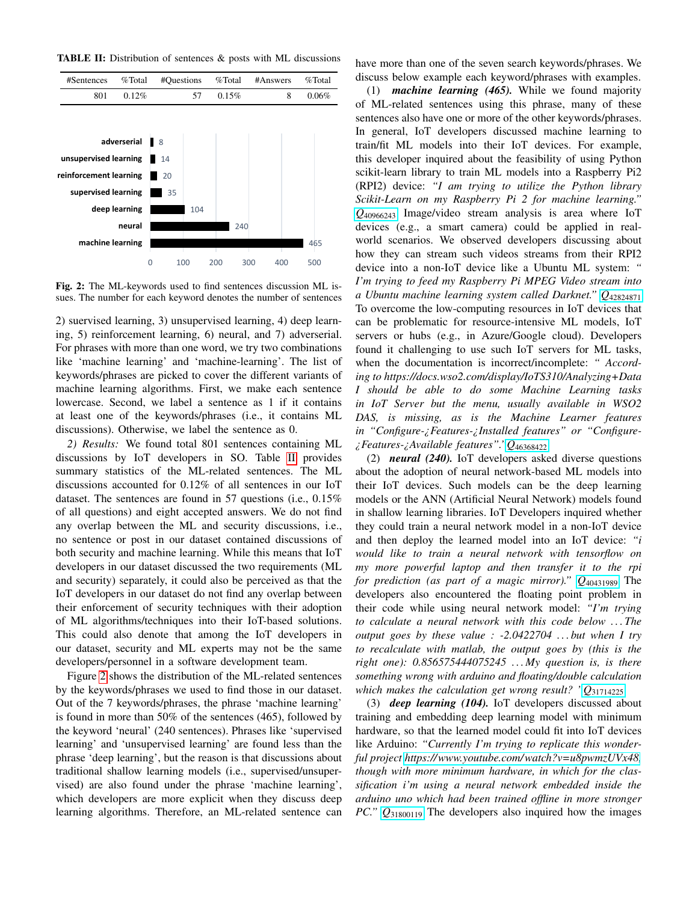<span id="page-4-0"></span>TABLE II: Distribution of sentences & posts with ML discussions

<span id="page-4-1"></span>

Fig. 2: The ML-keywords used to find sentences discussion ML issues. The number for each keyword denotes the number of sentences

2) suervised learning, 3) unsupervised learning, 4) deep learning, 5) reinforcement learning, 6) neural, and 7) adverserial. For phrases with more than one word, we try two combinations like 'machine learning' and 'machine-learning'. The list of keywords/phrases are picked to cover the different variants of machine learning algorithms. First, we make each sentence lowercase. Second, we label a sentence as 1 if it contains at least one of the keywords/phrases (i.e., it contains ML discussions). Otherwise, we label the sentence as 0.

*2) Results:* We found total 801 sentences containing ML discussions by IoT developers in SO. Table [II](#page-4-0) provides summary statistics of the ML-related sentences. The ML discussions accounted for 0.12% of all sentences in our IoT dataset. The sentences are found in 57 questions (i.e., 0.15% of all questions) and eight accepted answers. We do not find any overlap between the ML and security discussions, i.e., no sentence or post in our dataset contained discussions of both security and machine learning. While this means that IoT developers in our dataset discussed the two requirements (ML and security) separately, it could also be perceived as that the IoT developers in our dataset do not find any overlap between their enforcement of security techniques with their adoption of ML algorithms/techniques into their IoT-based solutions. This could also denote that among the IoT developers in our dataset, security and ML experts may not be the same developers/personnel in a software development team.

Figure [2](#page-4-1) shows the distribution of the ML-related sentences by the keywords/phrases we used to find those in our dataset. Out of the 7 keywords/phrases, the phrase 'machine learning' is found in more than 50% of the sentences (465), followed by the keyword 'neural' (240 sentences). Phrases like 'supervised learning' and 'unsupervised learning' are found less than the phrase 'deep learning', but the reason is that discussions about traditional shallow learning models (i.e., supervised/unsupervised) are also found under the phrase 'machine learning', which developers are more explicit when they discuss deep learning algorithms. Therefore, an ML-related sentence can have more than one of the seven search keywords/phrases. We discuss below example each keyword/phrases with examples.

(1) *machine learning (465).* While we found majority of ML-related sentences using this phrase, many of these sentences also have one or more of the other keywords/phrases. In general, IoT developers discussed machine learning to train/fit ML models into their IoT devices. For example, this developer inquired about the feasibility of using Python scikit-learn library to train ML models into a Raspberry Pi2 (RPI2) device: *"I am trying to utilize the Python library Scikit-Learn on my Raspberry Pi 2 for machine learning." Q*[40966243](https://stackoverflow.com/questions/40966243/) Image/video stream analysis is area where IoT devices (e.g., a smart camera) could be applied in realworld scenarios. We observed developers discussing about how they can stream such videos streams from their RPI2 device into a non-IoT device like a Ubuntu ML system: *" I'm trying to feed my Raspberry Pi MPEG Video stream into a Ubuntu machine learning system called Darknet." Q*[42824871](https://stackoverflow.com/questions/42824871/) To overcome the low-computing resources in IoT devices that can be problematic for resource-intensive ML models, IoT servers or hubs (e.g., in Azure/Google cloud). Developers found it challenging to use such IoT servers for ML tasks, when the documentation is incorrect/incomplete: *" According to https://docs.wso2.com/display/IoTS310/Analyzing+Data I should be able to do some Machine Learning tasks in IoT Server but the menu, usually available in WSO2 DAS, is missing, as is the Machine Learner features in "Configure-¿Features-¿Installed features" or "Configure- ¿Features-¿Available features"."Q*[46368422](https://stackoverflow.com/questions/46368422/)

(2) *neural (240).* IoT developers asked diverse questions about the adoption of neural network-based ML models into their IoT devices. Such models can be the deep learning models or the ANN (Artificial Neural Network) models found in shallow learning libraries. IoT Developers inquired whether they could train a neural network model in a non-IoT device and then deploy the learned model into an IoT device: *"i would like to train a neural network with tensorflow on my more powerful laptop and then transfer it to the rpi for prediction (as part of a magic mirror)." Q*[40431989](https://stackoverflow.com/questions/40431989/) The developers also encountered the floating point problem in their code while using neural network model: *"I'm trying to calculate a neural network with this code below . . . The output goes by these value : -2.0422704 . . . but when I try to recalculate with matlab, the output goes by (this is the right one): 0.856575444075245 . . . My question is, is there something wrong with arduino and floating/double calculation which makes the calculation get wrong result? "Q*[31714225](https://stackoverflow.com/questions/31714225/)

(3) *deep learning (104).* IoT developers discussed about training and embedding deep learning model with minimum hardware, so that the learned model could fit into IoT devices like Arduino: *"Currently I'm trying to replicate this wonderful project [https://www.youtube.com/watch?v=u8pwmzUVx48,](https://www.youtube.com/watch?v=u8pwmzUVx48) though with more minimum hardware, in which for the classification i'm using a neural network embedded inside the arduino uno which had been trained offline in more stronger PC." Q*[31800119](https://stackoverflow.com/questions/31800119/) The developers also inquired how the images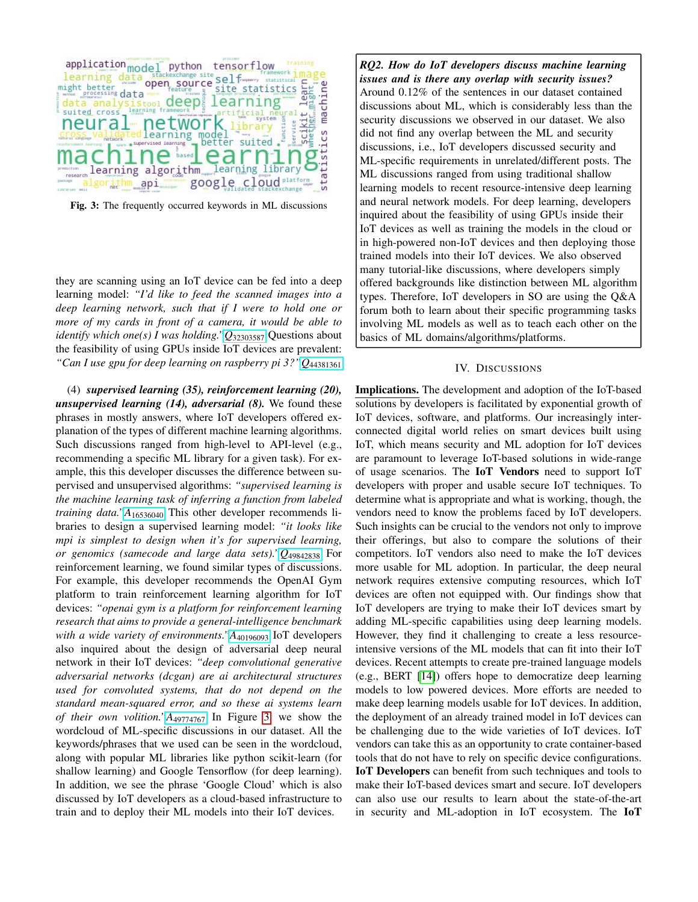<span id="page-5-0"></span>

Fig. 3: The frequently occurred keywords in ML discussions

they are scanning using an IoT device can be fed into a deep learning model: *"I'd like to feed the scanned images into a deep learning network, such that if I were to hold one or more of my cards in front of a camera, it would be able to identify which one(s) I was holding."Q*[32303587](https://stackoverflow.com/questions/32303587/) Questions about the feasibility of using GPUs inside IoT devices are prevalent: *"Can I use gpu for deep learning on raspberry pi 3?"Q*[44381361](https://stackoverflow.com/questions/44381361/)

(4) *supervised learning (35), reinforcement learning (20), unsupervised learning (14), adversarial (8).* We found these phrases in mostly answers, where IoT developers offered explanation of the types of different machine learning algorithms. Such discussions ranged from high-level to API-level (e.g., recommending a specific ML library for a given task). For example, this this developer discusses the difference between supervised and unsupervised algorithms: *"supervised learning is the machine learning task of inferring a function from labeled training data."A*[16536040](https://stackoverflow.com/answers/16536040/) This other developer recommends libraries to design a supervised learning model: *"it looks like mpi is simplest to design when it's for supervised learning, or genomics (samecode and large data sets)."Q*[49842838](https://stackoverflow.com/questions/49842838/) For reinforcement learning, we found similar types of discussions. For example, this developer recommends the OpenAI Gym platform to train reinforcement learning algorithm for IoT devices: *"openai gym is a platform for reinforcement learning research that aims to provide a general-intelligence benchmark with a wide variety of environments.*"A<sub>[40196093](https://stackoverflow.com/answers/40196093/)</sub> IoT developers also inquired about the design of adversarial deep neural network in their IoT devices: *"deep convolutional generative adversarial networks (dcgan) are ai architectural structures used for convoluted systems, that do not depend on the standard mean-squared error, and so these ai systems learn of their own volition."A*[49774767](https://stackoverflow.com/answers/49774767/) In Figure [3,](#page-5-0) we show the wordcloud of ML-specific discussions in our dataset. All the keywords/phrases that we used can be seen in the wordcloud, along with popular ML libraries like python scikit-learn (for shallow learning) and Google Tensorflow (for deep learning). In addition, we see the phrase 'Google Cloud' which is also discussed by IoT developers as a cloud-based infrastructure to train and to deploy their ML models into their IoT devices.

*RQ2. How do IoT developers discuss machine learning issues and is there any overlap with security issues?* Around 0.12% of the sentences in our dataset contained discussions about ML, which is considerably less than the security discussions we observed in our dataset. We also did not find any overlap between the ML and security discussions, i.e., IoT developers discussed security and ML-specific requirements in unrelated/different posts. The ML discussions ranged from using traditional shallow learning models to recent resource-intensive deep learning and neural network models. For deep learning, developers inquired about the feasibility of using GPUs inside their IoT devices as well as training the models in the cloud or in high-powered non-IoT devices and then deploying those trained models into their IoT devices. We also observed many tutorial-like discussions, where developers simply offered backgrounds like distinction between ML algorithm types. Therefore, IoT developers in SO are using the Q&A forum both to learn about their specific programming tasks involving ML models as well as to teach each other on the basics of ML domains/algorithms/platforms.

# IV. DISCUSSIONS

Implications. The development and adoption of the IoT-based solutions by developers is facilitated by exponential growth of IoT devices, software, and platforms. Our increasingly interconnected digital world relies on smart devices built using IoT, which means security and ML adoption for IoT devices are paramount to leverage IoT-based solutions in wide-range of usage scenarios. The IoT Vendors need to support IoT developers with proper and usable secure IoT techniques. To determine what is appropriate and what is working, though, the vendors need to know the problems faced by IoT developers. Such insights can be crucial to the vendors not only to improve their offerings, but also to compare the solutions of their competitors. IoT vendors also need to make the IoT devices more usable for ML adoption. In particular, the deep neural network requires extensive computing resources, which IoT devices are often not equipped with. Our findings show that IoT developers are trying to make their IoT devices smart by adding ML-specific capabilities using deep learning models. However, they find it challenging to create a less resourceintensive versions of the ML models that can fit into their IoT devices. Recent attempts to create pre-trained language models (e.g., BERT [\[14\]](#page-7-24)) offers hope to democratize deep learning models to low powered devices. More efforts are needed to make deep learning models usable for IoT devices. In addition, the deployment of an already trained model in IoT devices can be challenging due to the wide varieties of IoT devices. IoT vendors can take this as an opportunity to crate container-based tools that do not have to rely on specific device configurations. IoT Developers can benefit from such techniques and tools to make their IoT-based devices smart and secure. IoT developers can also use our results to learn about the state-of-the-art in security and ML-adoption in IoT ecosystem. The IoT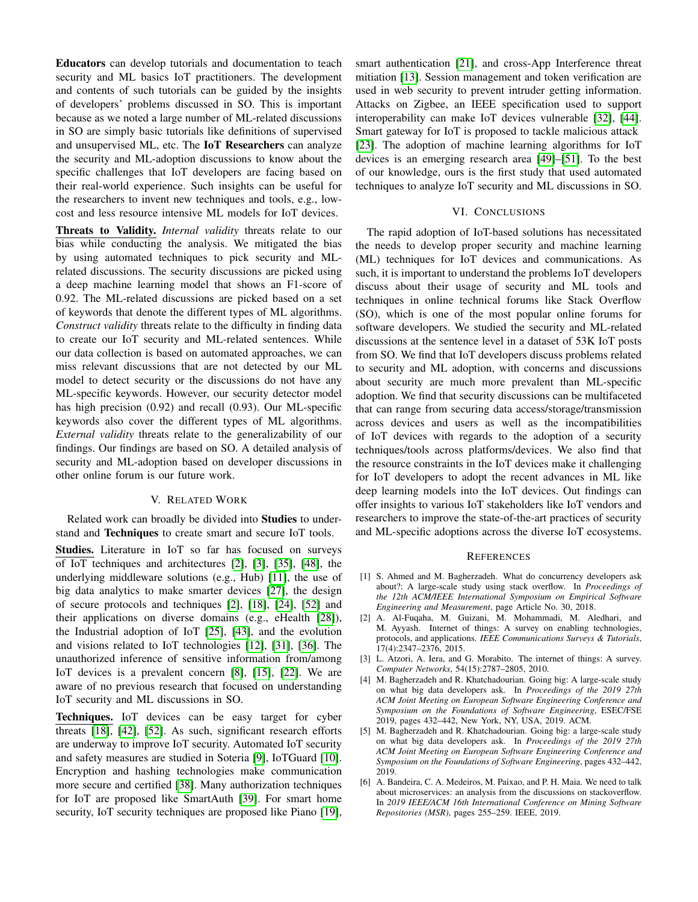Educators can develop tutorials and documentation to teach security and ML basics IoT practitioners. The development and contents of such tutorials can be guided by the insights of developers' problems discussed in SO. This is important because as we noted a large number of ML-related discussions in SO are simply basic tutorials like definitions of supervised and unsupervised ML, etc. The IoT Researchers can analyze the security and ML-adoption discussions to know about the specific challenges that IoT developers are facing based on their real-world experience. Such insights can be useful for the researchers to invent new techniques and tools, e.g., lowcost and less resource intensive ML models for IoT devices.

Threats to Validity. *Internal validity* threats relate to our bias while conducting the analysis. We mitigated the bias by using automated techniques to pick security and MLrelated discussions. The security discussions are picked using a deep machine learning model that shows an F1-score of 0.92. The ML-related discussions are picked based on a set of keywords that denote the different types of ML algorithms. *Construct validity* threats relate to the difficulty in finding data to create our IoT security and ML-related sentences. While our data collection is based on automated approaches, we can miss relevant discussions that are not detected by our ML model to detect security or the discussions do not have any ML-specific keywords. However, our security detector model has high precision (0.92) and recall (0.93). Our ML-specific keywords also cover the different types of ML algorithms. *External validity* threats relate to the generalizability of our findings. Our findings are based on SO. A detailed analysis of security and ML-adoption based on developer discussions in other online forum is our future work.

# V. RELATED WORK

Related work can broadly be divided into Studies to understand and Techniques to create smart and secure IoT tools.

Studies. Literature in IoT so far has focused on surveys of IoT techniques and architectures [\[2\]](#page-6-1), [\[3\]](#page-6-0), [\[35\]](#page-7-25), [\[48\]](#page-7-26), the underlying middleware solutions (e.g., Hub) [\[11\]](#page-7-27), the use of big data analytics to make smarter devices [\[27\]](#page-7-4), the design of secure protocols and techniques [\[2\]](#page-6-1), [\[18\]](#page-7-28), [\[24\]](#page-7-29), [\[52\]](#page-7-30) and their applications on diverse domains (e.g., eHealth [\[28\]](#page-7-31)), the Industrial adoption of IoT [\[25\]](#page-7-32), [\[43\]](#page-7-33), and the evolution and visions related to IoT technologies [\[12\]](#page-7-2), [\[31\]](#page-7-1), [\[36\]](#page-7-34). The unauthorized inference of sensitive information from/among IoT devices is a prevalent concern [\[8\]](#page-7-35), [\[15\]](#page-7-6), [\[22\]](#page-7-12). We are aware of no previous research that focused on understanding IoT security and ML discussions in SO.

Techniques. IoT devices can be easy target for cyber threats [\[18\]](#page-7-28), [\[42\]](#page-7-9), [\[52\]](#page-7-30). As such, significant research efforts are underway to improve IoT security. Automated IoT security and safety measures are studied in Soteria [\[9\]](#page-7-36), IoTGuard [\[10\]](#page-7-37). Encryption and hashing technologies make communication more secure and certified [\[38\]](#page-7-38). Many authorization techniques for IoT are proposed like SmartAuth [\[39\]](#page-7-39). For smart home security, IoT security techniques are proposed like Piano [\[19\]](#page-7-11), smart authentication [\[21\]](#page-7-40), and cross-App Interference threat mitiation [\[13\]](#page-7-5). Session management and token verification are used in web security to prevent intruder getting information. Attacks on Zigbee, an IEEE specification used to support interoperability can make IoT devices vulnerable [\[32\]](#page-7-10), [\[44\]](#page-7-41). Smart gateway for IoT is proposed to tackle malicious attack [\[23\]](#page-7-42). The adoption of machine learning algorithms for IoT devices is an emerging research area [\[49\]](#page-7-43)–[\[51\]](#page-7-44). To the best of our knowledge, ours is the first study that used automated techniques to analyze IoT security and ML discussions in SO.

### VI. CONCLUSIONS

The rapid adoption of IoT-based solutions has necessitated the needs to develop proper security and machine learning (ML) techniques for IoT devices and communications. As such, it is important to understand the problems IoT developers discuss about their usage of security and ML tools and techniques in online technical forums like Stack Overflow (SO), which is one of the most popular online forums for software developers. We studied the security and ML-related discussions at the sentence level in a dataset of 53K IoT posts from SO. We find that IoT developers discuss problems related to security and ML adoption, with concerns and discussions about security are much more prevalent than ML-specific adoption. We find that security discussions can be multifaceted that can range from securing data access/storage/transmission across devices and users as well as the incompatibilities of IoT devices with regards to the adoption of a security techniques/tools across platforms/devices. We also find that the resource constraints in the IoT devices make it challenging for IoT developers to adopt the recent advances in ML like deep learning models into the IoT devices. Out findings can offer insights to various IoT stakeholders like IoT vendors and researchers to improve the state-of-the-art practices of security and ML-specific adoptions across the diverse IoT ecosystems.

#### **REFERENCES**

- <span id="page-6-3"></span>[1] S. Ahmed and M. Bagherzadeh. What do concurrency developers ask about?: A large-scale study using stack overflow. In *Proceedings of the 12th ACM/IEEE International Symposium on Empirical Software Engineering and Measurement*, page Article No. 30, 2018.
- <span id="page-6-1"></span>[2] A. Al-Fuqaha, M. Guizani, M. Mohammadi, M. Aledhari, and M. Ayyash. Internet of things: A survey on enabling technologies, protocols, and applications. *IEEE Communications Surveys & Tutorials*, 17(4):2347–2376, 2015.
- <span id="page-6-0"></span>[3] L. Atzori, A. Iera, and G. Morabito. The internet of things: A survey. *Computer Networks*, 54(15):2787–2805, 2010.
- <span id="page-6-2"></span>[4] M. Bagherzadeh and R. Khatchadourian. Going big: A large-scale study on what big data developers ask. In *Proceedings of the 2019 27th ACM Joint Meeting on European Software Engineering Conference and Symposium on the Foundations of Software Engineering*, ESEC/FSE 2019, pages 432–442, New York, NY, USA, 2019. ACM.
- <span id="page-6-5"></span>[5] M. Bagherzadeh and R. Khatchadourian. Going big: a large-scale study on what big data developers ask. In *Proceedings of the 2019 27th ACM Joint Meeting on European Software Engineering Conference and Symposium on the Foundations of Software Engineering*, pages 432–442, 2019.
- <span id="page-6-4"></span>[6] A. Bandeira, C. A. Medeiros, M. Paixao, and P. H. Maia. We need to talk about microservices: an analysis from the discussions on stackoverflow. In *2019 IEEE/ACM 16th International Conference on Mining Software Repositories (MSR)*, pages 255–259. IEEE, 2019.